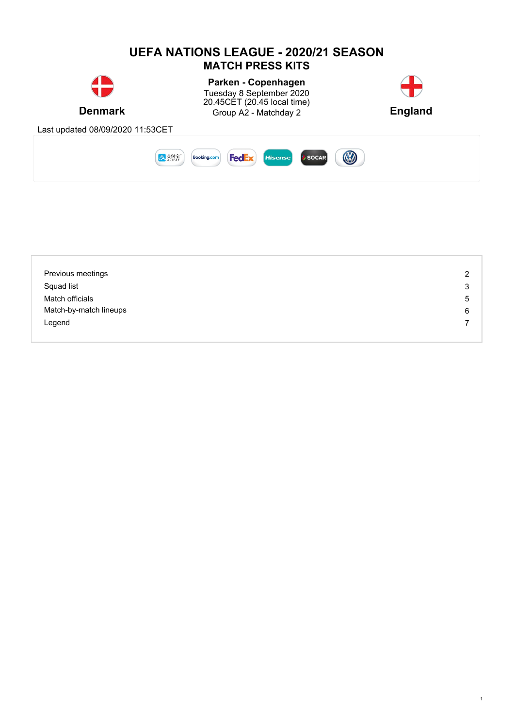

| Previous meetings      | $\overline{2}$ |
|------------------------|----------------|
| Squad list             | 3              |
| Match officials        | 5              |
| Match-by-match lineups | 6              |
| Legend                 |                |
|                        |                |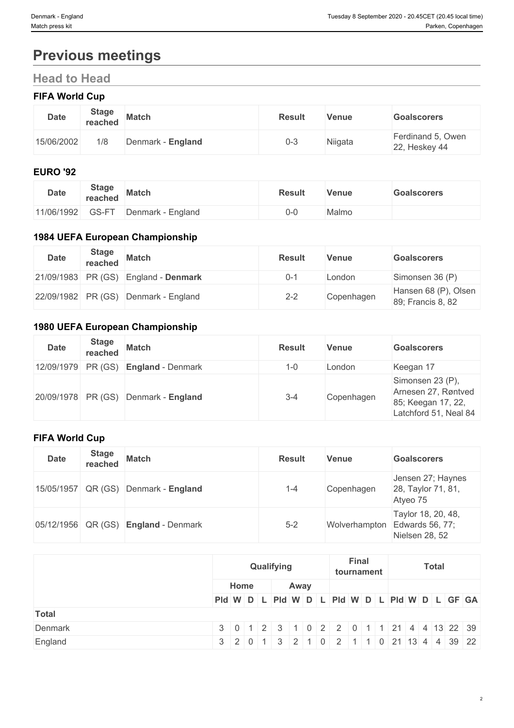# **Previous meetings**

## **Head to Head**

## **FIFA World Cup**

| <b>Date</b> | <b>Stage</b><br>reached | <b>Match</b>      | <b>Result</b> | Venue   | <b>Goalscorers</b>                 |
|-------------|-------------------------|-------------------|---------------|---------|------------------------------------|
| 15/06/2002  | 1/8                     | Denmark - England | 0-3           | Niigata | Ferdinand 5, Owen<br>22, Heskey 44 |

#### **EURO '92**

| <b>Date</b> | <b>Stage</b><br>reached | <b>Match</b>      | <b>Result</b> | Venue        | <b>Goalscorers</b> |
|-------------|-------------------------|-------------------|---------------|--------------|--------------------|
| 11/06/1992  | GS-FT                   | Denmark - England | ' J-U         | <b>Aalmo</b> |                    |

## **1984 UEFA European Championship**

| <b>Date</b> | <b>Stage</b><br>reached | <b>Match</b>                           | <b>Result</b> | Venue      | <b>Goalscorers</b>                        |
|-------------|-------------------------|----------------------------------------|---------------|------------|-------------------------------------------|
|             |                         | $21/09/1983$ PR (GS) England - Denmark | $0 - 1$       | _ondon     | Simonsen 36 (P)                           |
|             |                         | 22/09/1982 PR (GS) Denmark - England   | $2 - 2$       | Copenhagen | Hansen 68 (P), Olsen<br>89; Francis 8, 82 |

### **1980 UEFA European Championship**

| <b>Date</b> | <b>Stage</b><br>reached | <b>Match</b>                                  | <b>Result</b> | Venue      | <b>Goalscorers</b>                                                                     |
|-------------|-------------------------|-----------------------------------------------|---------------|------------|----------------------------------------------------------------------------------------|
|             |                         | $12/09/1979$ PR (GS) <b>England</b> - Denmark | 1-0           | London     | Keegan 17                                                                              |
|             |                         | $20/09/1978$ PR (GS) Denmark - England        | $3 - 4$       | Copenhagen | Simonsen 23 (P),<br>Arnesen 27, Røntved<br>85; Keegan 17, 22,<br>Latchford 51, Neal 84 |

### **FIFA World Cup**

| <b>Date</b>            | <b>Stage</b><br>reached | <b>Match</b>             | <b>Result</b> | <b>Venue</b> | <b>Goalscorers</b>                                                    |
|------------------------|-------------------------|--------------------------|---------------|--------------|-----------------------------------------------------------------------|
| 15/05/1957 QR (GS)     |                         | Denmark - England        | $1 - 4$       | Copenhagen   | Jensen 27; Haynes<br>28, Taylor 71, 81,<br>Atyeo 75                   |
| $ 05/12/1956 $ QR (GS) |                         | <b>England</b> - Denmark | $5-2$         |              | Taylor 18, 20, 48,<br>Wolverhampton Edwards 56, 77;<br>Nielsen 28, 52 |

|              | Qualifying |      | <b>Final</b><br>tournament | <b>Total</b>                                                                  |  |  |
|--------------|------------|------|----------------------------|-------------------------------------------------------------------------------|--|--|
|              | Home       | Away |                            |                                                                               |  |  |
|              |            |      |                            | Pid W D L Pid W D L Pid W D L Pid W D L GF GA                                 |  |  |
| <b>Total</b> |            |      |                            |                                                                               |  |  |
| Denmark      |            |      |                            | 3 0 1 2 3 1 0 2 2 0 1 1 21 4 4 13 22 39                                       |  |  |
| England      |            |      |                            | $3   2   0   1   3   2   1   0   2   1   1   0   21   13   4   4   39   22  $ |  |  |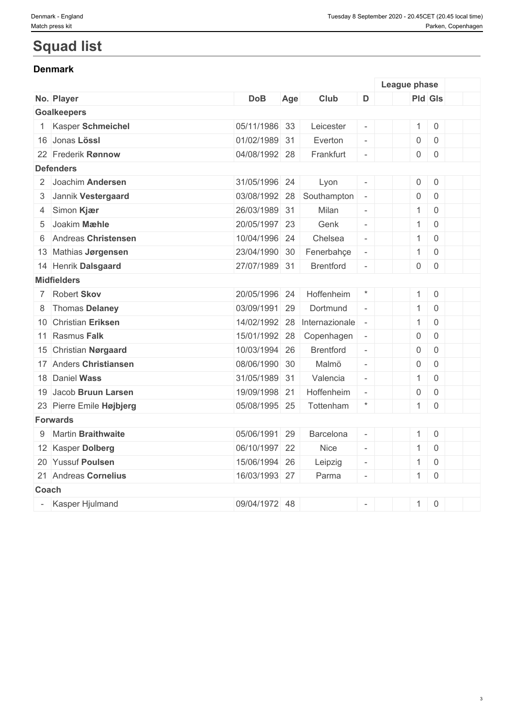# **Squad list**

#### **Denmark**

|       |                          |               |     |                  |                             | League phase |                     |                     |  |
|-------|--------------------------|---------------|-----|------------------|-----------------------------|--------------|---------------------|---------------------|--|
|       | No. Player               | <b>DoB</b>    | Age | Club             | D                           |              |                     | <b>Pld Gls</b>      |  |
|       | <b>Goalkeepers</b>       |               |     |                  |                             |              |                     |                     |  |
|       | Kasper Schmeichel        | 05/11/1986 33 |     | Leicester        | $\overline{\phantom{a}}$    |              | $\mathbf{1}$        | $\mathsf 0$         |  |
|       | 16 Jonas Lössl           | 01/02/1989 31 |     | Everton          | $\overline{\phantom{a}}$    |              | $\mathsf{O}\xspace$ | $\mathsf 0$         |  |
|       | 22 Frederik Rønnow       | 04/08/1992 28 |     | Frankfurt        | $\equiv$                    |              | 0                   | $\mathsf{O}$        |  |
|       | <b>Defenders</b>         |               |     |                  |                             |              |                     |                     |  |
|       | 2 Joachim Andersen       | 31/05/1996 24 |     | Lyon             | $\overline{\phantom{a}}$    |              | $\mathsf{O}\xspace$ | $\mathsf{O}\xspace$ |  |
|       | 3 Jannik Vestergaard     | 03/08/1992    | 28  | Southampton      | $\mathcal{L}_{\mathcal{A}}$ |              | $\mathsf{O}\xspace$ | $\mathsf{O}\xspace$ |  |
|       | 4 Simon Kjær             | 26/03/1989 31 |     | Milan            | $\equiv$                    |              | $\mathbf{1}$        | $\overline{0}$      |  |
|       | 5 Joakim Mæhle           | 20/05/1997 23 |     | Genk             | $\sim$                      |              | $\mathbf{1}$        | $\mathsf{O}$        |  |
| 6     | Andreas Christensen      | 10/04/1996 24 |     | Chelsea          | $\bar{a}$                   |              | 1                   | $\mathsf 0$         |  |
|       | 13 Mathias Jørgensen     | 23/04/1990 30 |     | Fenerbahçe       | $\overline{\phantom{a}}$    |              | $\mathbf{1}$        | $\mathsf{O}\xspace$ |  |
|       | 14 Henrik Dalsgaard      | 27/07/1989 31 |     | <b>Brentford</b> | $\overline{\phantom{a}}$    |              | $\overline{0}$      | $\mathsf 0$         |  |
|       | <b>Midfielders</b>       |               |     |                  |                             |              |                     |                     |  |
|       | 7 Robert Skov            | 20/05/1996 24 |     | Hoffenheim       | $\star$                     |              | 1                   | $\overline{0}$      |  |
|       | 8 Thomas Delaney         | 03/09/1991 29 |     | Dortmund         | $\bar{a}$                   |              | $\mathbf{1}$        | $\mathsf 0$         |  |
|       | 10 Christian Eriksen     | 14/02/1992 28 |     | Internazionale   | $\sim$                      |              | $\mathbf{1}$        | $\mathsf{O}\xspace$ |  |
|       | 11 Rasmus Falk           | 15/01/1992 28 |     | Copenhagen       | $\overline{\phantom{a}}$    |              | 0                   | $\mathbf 0$         |  |
|       | 15 Christian Nørgaard    | 10/03/1994 26 |     | <b>Brentford</b> | $\overline{\phantom{a}}$    |              | $\mathsf{O}\xspace$ | $\mathbf 0$         |  |
|       | 17 Anders Christiansen   | 08/06/1990 30 |     | Malmö            | $\overline{\phantom{a}}$    |              | $\mathsf{O}$        | $\mathsf 0$         |  |
|       | 18 Daniel Wass           | 31/05/1989 31 |     | Valencia         | $\overline{\phantom{a}}$    |              | $\mathbf{1}$        | $\mathsf{O}\xspace$ |  |
|       | 19 Jacob Bruun Larsen    | 19/09/1998 21 |     | Hoffenheim       | $\omega$                    |              | $\mathsf{O}\xspace$ | $\mathsf{O}\xspace$ |  |
|       | 23 Pierre Emile Højbjerg | 05/08/1995 25 |     | Tottenham        | $\star$                     |              | 1                   | $\mathsf{O}\xspace$ |  |
|       | Forwards                 |               |     |                  |                             |              |                     |                     |  |
|       | 9 Martin Braithwaite     | 05/06/1991 29 |     | Barcelona        | $\overline{\phantom{a}}$    |              | 1                   | $\overline{0}$      |  |
|       | 12 Kasper Dolberg        | 06/10/1997 22 |     | <b>Nice</b>      | $\overline{\phantom{a}}$    |              | $\mathbf{1}$        | $\overline{0}$      |  |
|       | 20 Yussuf Poulsen        | 15/06/1994 26 |     | Leipzig          | $\overline{\phantom{a}}$    |              | $\mathbf{1}$        | $\mathsf 0$         |  |
|       | 21 Andreas Cornelius     | 16/03/1993 27 |     | Parma            | $\overline{\phantom{a}}$    |              | 1                   | $\overline{0}$      |  |
| Coach |                          |               |     |                  |                             |              |                     |                     |  |
|       | Kasper Hjulmand          | 09/04/1972 48 |     |                  | $\mathbf{r}$                |              | 1                   | $\mathsf{O}$        |  |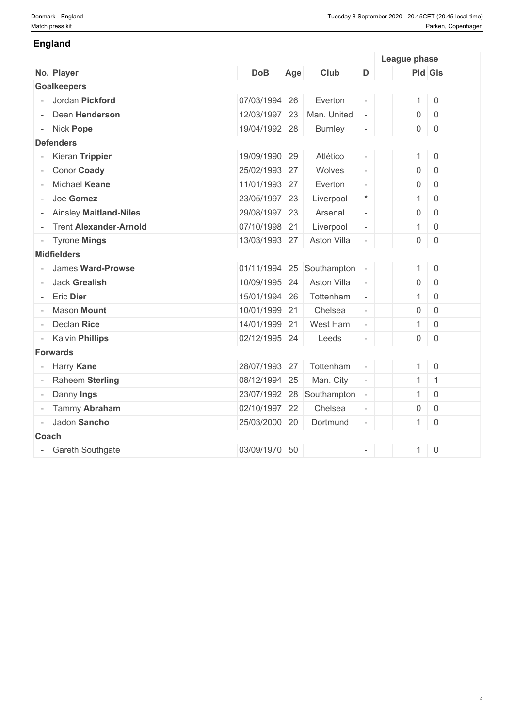#### **England**

|        |                               |               |     |                |                          | League phase   |                |  |
|--------|-------------------------------|---------------|-----|----------------|--------------------------|----------------|----------------|--|
|        | No. Player                    | <b>DoB</b>    | Age | Club           | D                        |                | <b>Pld Gls</b> |  |
|        | <b>Goalkeepers</b>            |               |     |                |                          |                |                |  |
|        | Jordan Pickford               | 07/03/1994 26 |     | Everton        | $\overline{\phantom{a}}$ |                | $1 \ 0$        |  |
|        | Dean Henderson                | 12/03/1997 23 |     | Man. United    | $\omega$                 | $\mathsf{O}$   | $\overline{0}$ |  |
|        | - Nick Pope                   | 19/04/1992 28 |     | <b>Burnley</b> | $\overline{\phantom{a}}$ | 0              | $\overline{0}$ |  |
|        | <b>Defenders</b>              |               |     |                |                          |                |                |  |
|        | Kieran Trippier               | 19/09/1990 29 |     | Atlético       | $\bar{\phantom{a}}$      |                | $1 \ 0$        |  |
|        | Conor Coady                   | 25/02/1993 27 |     | Wolves         | $\equiv$                 | $\mathsf 0$    | $\mathbf 0$    |  |
|        | Michael Keane                 | 11/01/1993 27 |     | Everton        | $\equiv$                 | $\mathsf{O}$   | $\overline{0}$ |  |
|        | Joe Gomez                     | 23/05/1997 23 |     | Liverpool      | $\star$                  | $\mathbf{1}$   | $\overline{0}$ |  |
|        | - Ainsley Maitland-Niles      | 29/08/1997 23 |     | Arsenal        | $\Box$                   | $\overline{0}$ | $\mathsf 0$    |  |
|        | <b>Trent Alexander-Arnold</b> | 07/10/1998 21 |     | Liverpool      | $\equiv$                 | $\mathbf{1}$   | $\overline{0}$ |  |
|        | - Tyrone Mings                | 13/03/1993 27 |     | Aston Villa    | $\equiv$                 | $\mathbf 0$    | $\mathsf 0$    |  |
|        | <b>Midfielders</b>            |               |     |                |                          |                |                |  |
|        | James Ward-Prowse             | 01/11/1994 25 |     | Southampton    | $\overline{\phantom{a}}$ | 1              | $\overline{0}$ |  |
|        | <b>Jack Grealish</b>          | 10/09/1995 24 |     | Aston Villa    | $\overline{\phantom{a}}$ | $\overline{0}$ | $\overline{0}$ |  |
|        | <b>Eric Dier</b>              | 15/01/1994 26 |     | Tottenham      | $\omega$                 | 1              | $\overline{0}$ |  |
|        | <b>Mason Mount</b>            | 10/01/1999 21 |     | Chelsea        | $\bar{\phantom{a}}$      | $\mathsf 0$    | $\mathsf 0$    |  |
|        | Declan Rice                   | 14/01/1999 21 |     | West Ham       | $\overline{\phantom{a}}$ | 1              | $\overline{0}$ |  |
|        | - Kalvin Phillips             | 02/12/1995 24 |     | Leeds          | $\omega$                 | $\overline{0}$ | $\overline{0}$ |  |
|        | <b>Forwards</b>               |               |     |                |                          |                |                |  |
| $\sim$ | Harry Kane                    | 28/07/1993 27 |     | Tottenham      | $\mathcal{L}$            | 1              | $\overline{0}$ |  |
|        | Raheem Sterling               | 08/12/1994 25 |     | Man. City      | $\overline{\phantom{a}}$ | 1              | $\overline{1}$ |  |
|        | Danny Ings                    | 23/07/1992 28 |     | Southampton    | $\overline{\phantom{a}}$ | 1              | $\overline{0}$ |  |
|        | Tammy Abraham                 | 02/10/1997 22 |     | Chelsea        | $\bar{\phantom{a}}$      | $\mathsf{O}$   | $\overline{0}$ |  |
|        | Jadon Sancho                  | 25/03/2000 20 |     | Dortmund       | $\sim$                   | 1              | $\overline{0}$ |  |
|        | Coach                         |               |     |                |                          |                |                |  |
|        | - Gareth Southgate            | 03/09/1970 50 |     |                | $\overline{\phantom{a}}$ | 1              | $\overline{0}$ |  |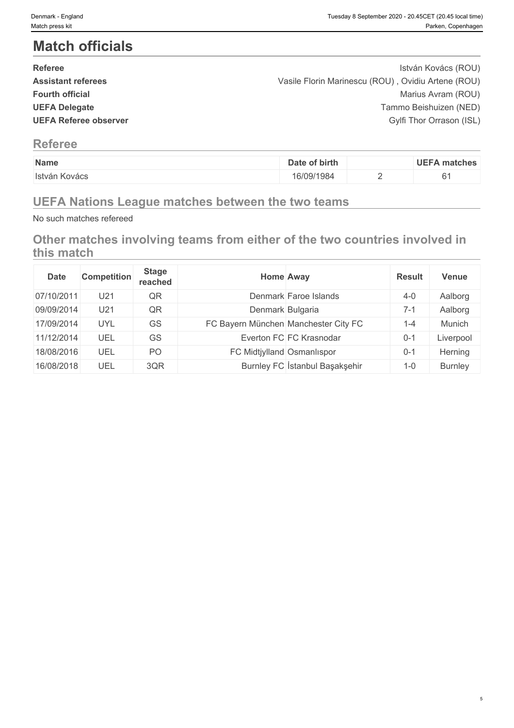# **Match officials**

| <b>Referee</b>               | István Kovács (ROU)                                |  |
|------------------------------|----------------------------------------------------|--|
| <b>Assistant referees</b>    | Vasile Florin Marinescu (ROU), Ovidiu Artene (ROU) |  |
| <b>Fourth official</b>       | Marius Avram (ROU)                                 |  |
| <b>UEFA Delegate</b>         | Tammo Beishuizen (NED)                             |  |
| <b>UEFA Referee observer</b> | Gylfi Thor Orrason (ISL)                           |  |
|                              |                                                    |  |

### **Referee**

| Name           | of birth<br>Jate | matches |
|----------------|------------------|---------|
| ∃István Kovács | 16/09/1984       | <br>- - |

## **UEFA Nations League matches between the two teams**

No such matches refereed

**Other matches involving teams from either of the two countries involved in this match**

| <b>Date</b> | <b>Competition</b> | <b>Stage</b><br>reached | <b>Home Away</b>                     |                                | <b>Result</b> | <b>Venue</b>   |
|-------------|--------------------|-------------------------|--------------------------------------|--------------------------------|---------------|----------------|
| 07/10/2011  | U21                | QR                      |                                      | Denmark Faroe Islands          | $4 - 0$       | Aalborg        |
| 09/09/2014  | U21                | QR                      | Denmark Bulgaria                     |                                | $7 - 1$       | Aalborg        |
| 17/09/2014  | <b>UYL</b>         | <b>GS</b>               | FC Bayern München Manchester City FC |                                | $1 - 4$       | Munich         |
| 11/12/2014  | UEL                | <b>GS</b>               |                                      | Everton FC FC Krasnodar        | $0 - 1$       | Liverpool      |
| 18/08/2016  | UEL                | PO                      | FC Midtjylland Osmanlıspor           |                                | $0 - 1$       | Herning        |
| 16/08/2018  | UEL                | 3QR                     |                                      | Burnley FC Istanbul Başakşehir | $1 - 0$       | <b>Burnley</b> |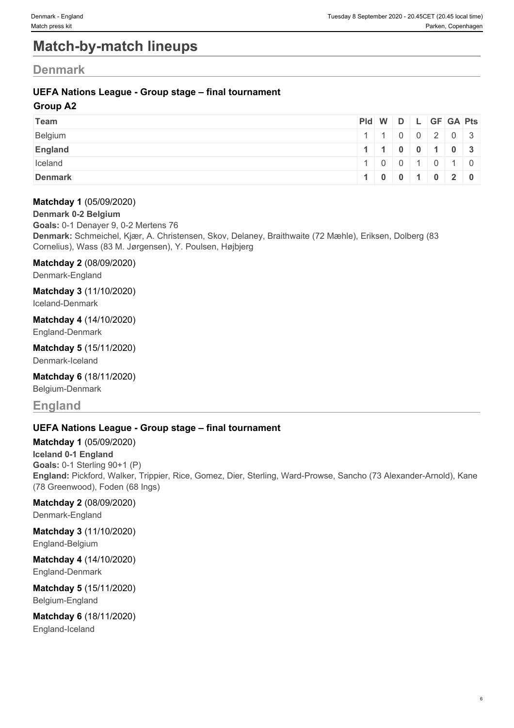# **Match-by-match lineups**

### **Denmark**

#### **UEFA Nations League - Group stage – final tournament**

#### **Group A2**

| Team           | Pid W D L GF GA Pts |                                                    |  |  |  |
|----------------|---------------------|----------------------------------------------------|--|--|--|
| Belgium        |                     | $1 \mid 1 \mid 0 \mid 0 \mid 2 \mid 0 \mid 3 \mid$ |  |  |  |
| <b>England</b> |                     | 1   1   0   0   1   0   3                          |  |  |  |
| Iceland        |                     | 1   0   0   1   0   1   0                          |  |  |  |
| <b>Denmark</b> |                     | 1   0   0   1   0   2   0                          |  |  |  |

#### **Matchday 1** (05/09/2020)

**Denmark 0-2 Belgium**

**Goals:** 0-1 Denayer 9, 0-2 Mertens 76 **Denmark:** Schmeichel, Kjær, A. Christensen, Skov, Delaney, Braithwaite (72 Mæhle), Eriksen, Dolberg (83 Cornelius), Wass (83 M. Jørgensen), Y. Poulsen, Højbjerg

#### **Matchday 2** (08/09/2020)

Denmark-England

**Matchday 3** (11/10/2020)

Iceland-Denmark

#### **Matchday 4** (14/10/2020)

England-Denmark

**Matchday 5** (15/11/2020) Denmark-Iceland

## **Matchday 6** (18/11/2020)

Belgium-Denmark

## **England**

#### **UEFA Nations League - Group stage – final tournament**

**Matchday 1** (05/09/2020)

**Iceland 0-1 England Goals:** 0-1 Sterling 90+1 (P) **England:** Pickford, Walker, Trippier, Rice, Gomez, Dier, Sterling, Ward-Prowse, Sancho (73 Alexander-Arnold), Kane (78 Greenwood), Foden (68 Ings)

#### **Matchday 2** (08/09/2020)

Denmark-England

# **Matchday 3** (11/10/2020)

England-Belgium

#### **Matchday 4** (14/10/2020) England-Denmark

**Matchday 5** (15/11/2020) Belgium-England

# **Matchday 6** (18/11/2020)

England-Iceland